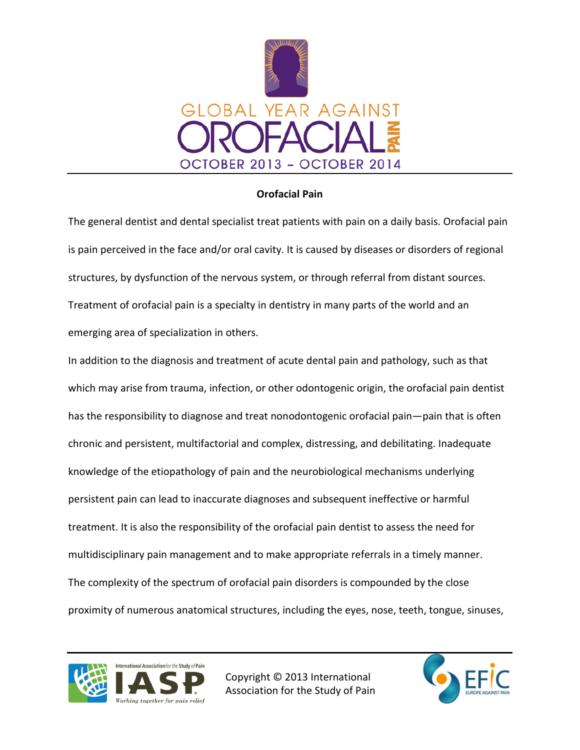

## **Orofacial Pain**

The general dentist and dental specialist treat patients with pain on a daily basis. Orofacial pain is pain perceived in the face and/or oral cavity. It is caused by diseases or disorders of regional structures, by dysfunction of the nervous system, or through referral from distant sources. Treatment of orofacial pain is a specialty in dentistry in many parts of the world and an emerging area of specialization in others.

In addition to the diagnosis and treatment of acute dental pain and pathology, such as that which may arise from trauma, infection, or other odontogenic origin, the orofacial pain dentist has the responsibility to diagnose and treat nonodontogenic orofacial pain—pain that is often chronic and persistent, multifactorial and complex, distressing, and debilitating. Inadequate knowledge of the etiopathology of pain and the neurobiological mechanisms underlying persistent pain can lead to inaccurate diagnoses and subsequent ineffective or harmful treatment. It is also the responsibility of the orofacial pain dentist to assess the need for multidisciplinary pain management and to make appropriate referrals in a timely manner. The complexity of the spectrum of orofacial pain disorders is compounded by the close proximity of numerous anatomical structures, including the eyes, nose, teeth, tongue, sinuses,



Copyright © 2013 International Association for the Study of Pain